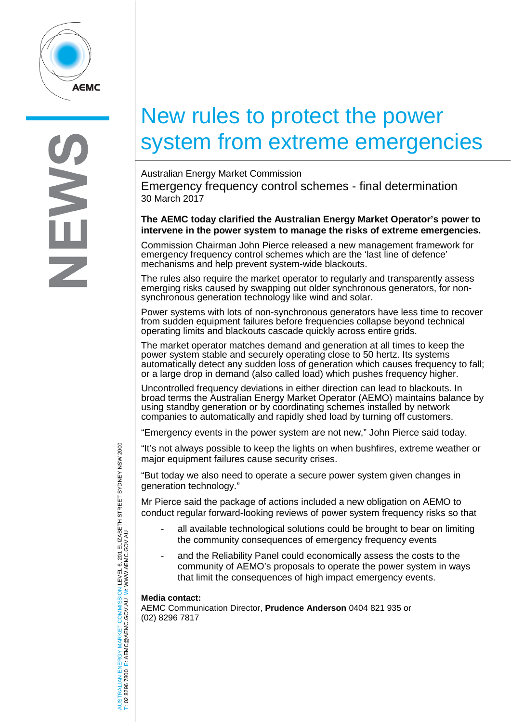

# New rules to protect the power system from extreme emergencies

Australian Energy Market Commission Emergency frequency control schemes - final determination 30 March 2017

## **The AEMC today clarified the Australian Energy Market Operator's power to intervene in the power system to manage the risks of extreme emergencies.**

Commission Chairman John Pierce released a new management framework for emergency frequency control schemes which are the 'last line of defence' mechanisms and help prevent system-wide blackouts.

The rules also require the market operator to regularly and transparently assess emerging risks caused by swapping out older synchronous generators, for nonsynchronous generation technology like wind and solar.

Power systems with lots of non-synchronous generators have less time to recover from sudden equipment failures before frequencies collapse beyond technical operating limits and blackouts cascade quickly across entire grids.

The market operator matches demand and generation at all times to keep the power system stable and securely operating close to 50 hertz. Its systems automatically detect any sudden loss of generation which causes frequency to fall; or a large drop in demand (also called load) which pushes frequency higher.

Uncontrolled frequency deviations in either direction can lead to blackouts. In broad terms the Australian Energy Market Operator (AEMO) maintains balance by using standby generation or by coordinating schemes installed by network companies to automatically and rapidly shed load by turning off customers.

"Emergency events in the power system are not new," John Pierce said today.

"It's not always possible to keep the lights on when bushfires, extreme weather or major equipment failures cause security crises.

"But today we also need to operate a secure power system given changes in generation technology."

Mr Pierce said the package of actions included a new obligation on AEMO to conduct regular forward-looking reviews of power system frequency risks so that

- all available technological solutions could be brought to bear on limiting the community consequences of emergency frequency events
- and the Reliability Panel could economically assess the costs to the community of AEMO's proposals to operate the power system in ways that limit the consequences of high impact emergency events.

## **Media contact:**

AEMC Communication Director, **Prudence Anderson** 0404 821 935 or (02) 8296 7817

AUSTRALIAN ENERGY MARKET COMMISSION LEVEL 6, 201 ELIZABETH STREET SYDNEY NSW 2000 ISTRALIAN ENERGY MARKET COMMISSION LEVEL 6, 201 ELIZABETH STREET SYDNEY NSW 2000<br>02 8296 7800 E: AEMC@AEMC.GOV.AU W: WWW.AEMC.GOV.AU W: WWW.AEMC.GOV.AU T: 02 8296 7800 E: AEMC@AEMC.GOV.AU